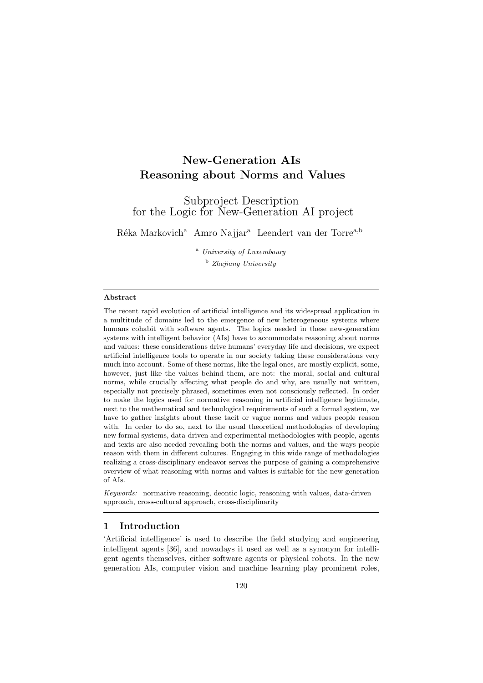# New-Generation AIs Reasoning about Norms and Values

Subproject Description for the Logic for New-Generation AI project

Réka Markovich<sup>a</sup> Amro Najjar<sup>a</sup> Leendert van der Torre<sup>a,b</sup>

<sup>a</sup> University of Luxembourg <sup>b</sup> Zhejiang University

#### Abstract

The recent rapid evolution of artificial intelligence and its widespread application in a multitude of domains led to the emergence of new heterogeneous systems where humans cohabit with software agents. The logics needed in these new-generation systems with intelligent behavior (AIs) have to accommodate reasoning about norms and values: these considerations drive humans' everyday life and decisions, we expect artificial intelligence tools to operate in our society taking these considerations very much into account. Some of these norms, like the legal ones, are mostly explicit, some, however, just like the values behind them, are not: the moral, social and cultural norms, while crucially affecting what people do and why, are usually not written, especially not precisely phrased, sometimes even not consciously reflected. In order to make the logics used for normative reasoning in artificial intelligence legitimate, next to the mathematical and technological requirements of such a formal system, we have to gather insights about these tacit or vague norms and values people reason with. In order to do so, next to the usual theoretical methodologies of developing new formal systems, data-driven and experimental methodologies with people, agents and texts are also needed revealing both the norms and values, and the ways people reason with them in different cultures. Engaging in this wide range of methodologies realizing a cross-disciplinary endeavor serves the purpose of gaining a comprehensive overview of what reasoning with norms and values is suitable for the new generation of AIs.

Keywords: normative reasoning, deontic logic, reasoning with values, data-driven approach, cross-cultural approach, cross-disciplinarity

#### 1 Introduction

'Artificial intelligence' is used to describe the field studying and engineering intelligent agents [36], and nowadays it used as well as a synonym for intelligent agents themselves, either software agents or physical robots. In the new generation AIs, computer vision and machine learning play prominent roles,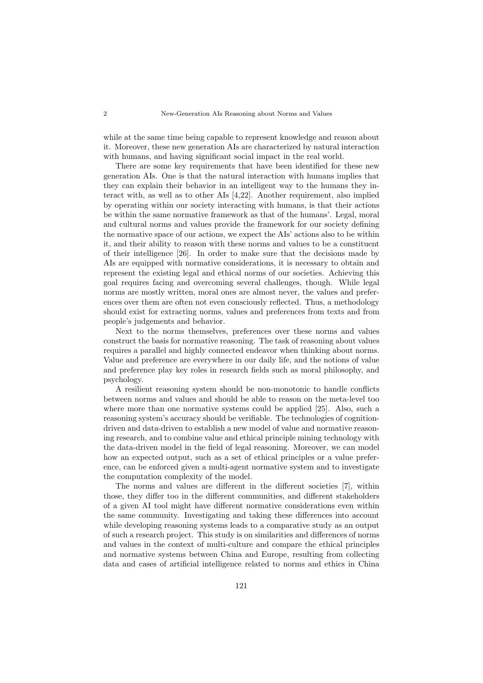while at the same time being capable to represent knowledge and reason about it. Moreover, these new generation AIs are characterized by natural interaction with humans, and having significant social impact in the real world.

There are some key requirements that have been identified for these new generation AIs. One is that the natural interaction with humans implies that they can explain their behavior in an intelligent way to the humans they interact with, as well as to other AIs [4,22]. Another requirement, also implied by operating within our society interacting with humans, is that their actions be within the same normative framework as that of the humans'. Legal, moral and cultural norms and values provide the framework for our society defining the normative space of our actions, we expect the AIs' actions also to be within it, and their ability to reason with these norms and values to be a constituent of their intelligence [26]. In order to make sure that the decisions made by AIs are equipped with normative considerations, it is necessary to obtain and represent the existing legal and ethical norms of our societies. Achieving this goal requires facing and overcoming several challenges, though. While legal norms are mostly written, moral ones are almost never, the values and preferences over them are often not even consciously reflected. Thus, a methodology should exist for extracting norms, values and preferences from texts and from people's judgements and behavior.

Next to the norms themselves, preferences over these norms and values construct the basis for normative reasoning. The task of reasoning about values requires a parallel and highly connected endeavor when thinking about norms. Value and preference are everywhere in our daily life, and the notions of value and preference play key roles in research fields such as moral philosophy, and psychology.

A resilient reasoning system should be non-monotonic to handle conflicts between norms and values and should be able to reason on the meta-level too where more than one normative systems could be applied [25]. Also, such a reasoning system's accuracy should be verifiable. The technologies of cognitiondriven and data-driven to establish a new model of value and normative reasoning research, and to combine value and ethical principle mining technology with the data-driven model in the field of legal reasoning. Moreover, we can model how an expected output, such as a set of ethical principles or a value preference, can be enforced given a multi-agent normative system and to investigate the computation complexity of the model.

The norms and values are different in the different societies [7], within those, they differ too in the different communities, and different stakeholders of a given AI tool might have different normative considerations even within the same community. Investigating and taking these differences into account while developing reasoning systems leads to a comparative study as an output of such a research project. This study is on similarities and differences of norms and values in the context of multi-culture and compare the ethical principles and normative systems between China and Europe, resulting from collecting data and cases of artificial intelligence related to norms and ethics in China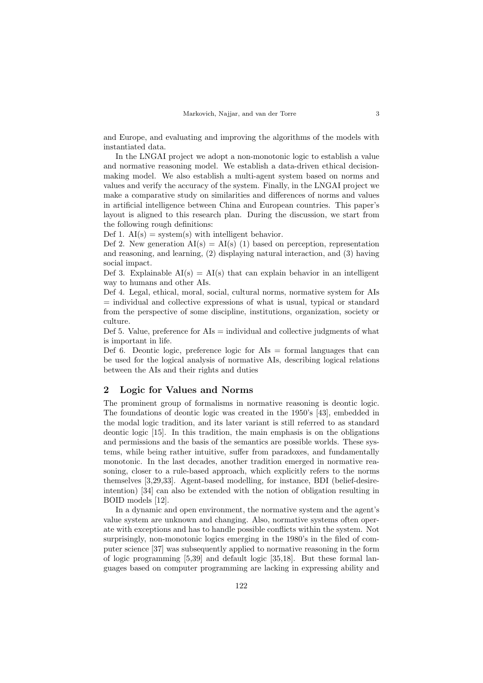and Europe, and evaluating and improving the algorithms of the models with instantiated data.

In the LNGAI project we adopt a non-monotonic logic to establish a value and normative reasoning model. We establish a data-driven ethical decisionmaking model. We also establish a multi-agent system based on norms and values and verify the accuracy of the system. Finally, in the LNGAI project we make a comparative study on similarities and differences of norms and values in artificial intelligence between China and European countries. This paper's layout is aligned to this research plan. During the discussion, we start from the following rough definitions:

Def 1.  $AI(s) = system(s)$  with intelligent behavior.

Def 2. New generation  $AI(s) = AI(s)$  (1) based on perception, representation and reasoning, and learning, (2) displaying natural interaction, and (3) having social impact.

Def 3. Explainable  $AI(s) = AI(s)$  that can explain behavior in an intelligent way to humans and other AIs.

Def 4. Legal, ethical, moral, social, cultural norms, normative system for AIs = individual and collective expressions of what is usual, typical or standard from the perspective of some discipline, institutions, organization, society or culture.

Def 5. Value, preference for  $\text{AIs} =$  individual and collective judgments of what is important in life.

Def 6. Deontic logic, preference logic for  $\text{AIs} = \text{formal languages that can}$ be used for the logical analysis of normative AIs, describing logical relations between the AIs and their rights and duties

## 2 Logic for Values and Norms

The prominent group of formalisms in normative reasoning is deontic logic. The foundations of deontic logic was created in the 1950's [43], embedded in the modal logic tradition, and its later variant is still referred to as standard deontic logic [15]. In this tradition, the main emphasis is on the obligations and permissions and the basis of the semantics are possible worlds. These systems, while being rather intuitive, suffer from paradoxes, and fundamentally monotonic. In the last decades, another tradition emerged in normative reasoning, closer to a rule-based approach, which explicitly refers to the norms themselves [3,29,33]. Agent-based modelling, for instance, BDI (belief-desireintention) [34] can also be extended with the notion of obligation resulting in BOID models [12].

In a dynamic and open environment, the normative system and the agent's value system are unknown and changing. Also, normative systems often operate with exceptions and has to handle possible conflicts within the system. Not surprisingly, non-monotonic logics emerging in the 1980's in the filed of computer science [37] was subsequently applied to normative reasoning in the form of logic programming [5,39] and default logic [35,18]. But these formal languages based on computer programming are lacking in expressing ability and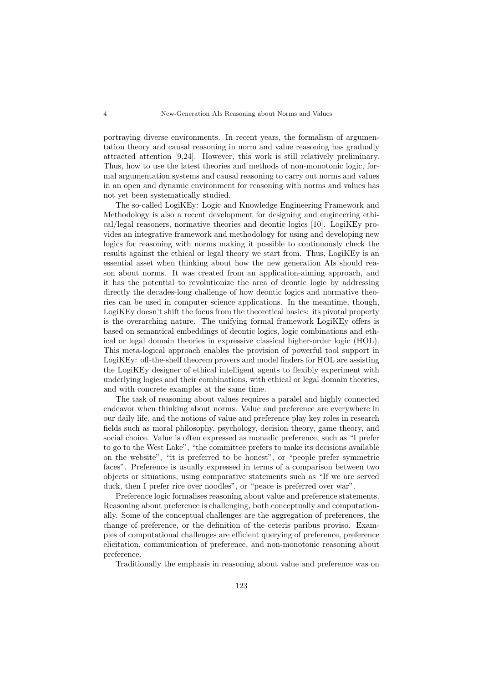portraying diverse environments. In recent years, the formalism of argumentation theory and causal reasoning in norm and value reasoning has gradually attracted attention [9,24]. However, this work is still relatively preliminary. Thus, how to use the latest theories and methods of non-monotonic logic, formal argumentation systems and causal reasoning to carry out norms and values in an open and dynamic environment for reasoning with norms and values has not yet been systematically studied.

The so-called LogiKEy: Logic and Knowledge Engineering Framework and Methodology is also a recent development for designing and engineering ethical/legal reasoners, normative theories and deontic logics [10]. LogiKEy provides an integrative framework and methodology for using and developing new logics for reasoning with norms making it possible to continuously check the results against the ethical or legal theory we start from. Thus, LogiKEy is an essential asset when thinking about how the new generation AIs should reason about norms. It was created from an application-aiming approach, and it has the potential to revolutionize the area of deontic logic by addressing directly the decades-long challenge of how deontic logics and normative theories can be used in computer science applications. In the meantime, though, LogiKEy doesn't shift the focus from the theoretical basics: its pivotal property is the overarching nature. The unifying formal framework LogiKEy offers is based on semantical embeddings of deontic logics, logic combinations and ethical or legal domain theories in expressive classical higher-order logic (HOL). This meta-logical approach enables the provision of powerful tool support in LogiKEy: off-the-shelf theorem provers and model finders for HOL are assisting the LogiKEy designer of ethical intelligent agents to flexibly experiment with underlying logics and their combinations, with ethical or legal domain theories, and with concrete examples at the same time.

The task of reasoning about values requires a paralel and highly connected endeavor when thinking about norms. Value and preference are everywhere in our daily life, and the notions of value and preference play key roles in research fields such as moral philosophy, psychology, decision theory, game theory, and social choice. Value is often expressed as monadic preference, such as "I prefer to go to the West Lake", "the committee prefers to make its decisions available on the website", "it is preferred to be honest", or "people prefer symmetric faces". Preference is usually expressed in terms of a comparison between two objects or situations, using comparative statements such as "If we are served duck, then I prefer rice over noodles", or "peace is preferred over war".

Preference logic formalises reasoning about value and preference statements. Reasoning about preference is challenging, both conceptually and computationally. Some of the conceptual challenges are the aggregation of preferences, the change of preference, or the definition of the ceteris paribus proviso. Examples of computational challenges are efficient querying of preference, preference elicitation, communication of preference, and non-monotonic reasoning about preference.

Traditionally the emphasis in reasoning about value and preference was on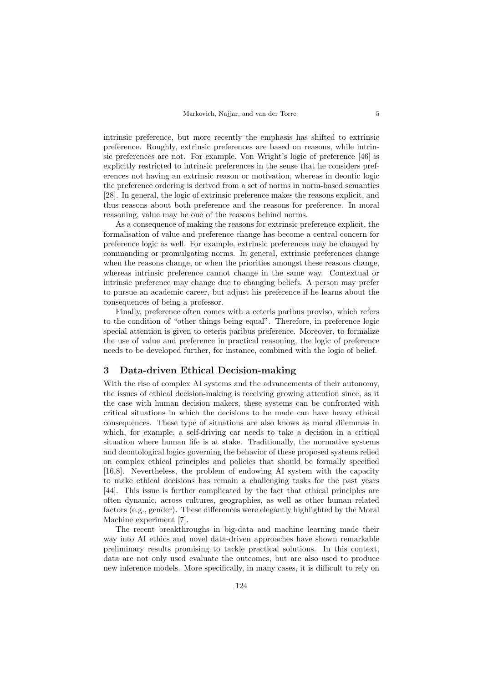intrinsic preference, but more recently the emphasis has shifted to extrinsic preference. Roughly, extrinsic preferences are based on reasons, while intrinsic preferences are not. For example, Von Wright's logic of preference [46] is explicitly restricted to intrinsic preferences in the sense that he considers preferences not having an extrinsic reason or motivation, whereas in deontic logic the preference ordering is derived from a set of norms in norm-based semantics [28]. In general, the logic of extrinsic preference makes the reasons explicit, and thus reasons about both preference and the reasons for preference. In moral reasoning, value may be one of the reasons behind norms.

As a consequence of making the reasons for extrinsic preference explicit, the formalisation of value and preference change has become a central concern for preference logic as well. For example, extrinsic preferences may be changed by commanding or promulgating norms. In general, extrinsic preferences change when the reasons change, or when the priorities amongst these reasons change, whereas intrinsic preference cannot change in the same way. Contextual or intrinsic preference may change due to changing beliefs. A person may prefer to pursue an academic career, but adjust his preference if he learns about the consequences of being a professor.

Finally, preference often comes with a ceteris paribus proviso, which refers to the condition of "other things being equal". Therefore, in preference logic special attention is given to ceteris paribus preference. Moreover, to formalize the use of value and preference in practical reasoning, the logic of preference needs to be developed further, for instance, combined with the logic of belief.

#### 3 Data-driven Ethical Decision-making

With the rise of complex AI systems and the advancements of their autonomy, the issues of ethical decision-making is receiving growing attention since, as it the case with human decision makers, these systems can be confronted with critical situations in which the decisions to be made can have heavy ethical consequences. These type of situations are also knows as moral dilemmas in which, for example, a self-driving car needs to take a decision in a critical situation where human life is at stake. Traditionally, the normative systems and deontological logics governing the behavior of these proposed systems relied on complex ethical principles and policies that should be formally specified [16,8]. Nevertheless, the problem of endowing AI system with the capacity to make ethical decisions has remain a challenging tasks for the past years [44]. This issue is further complicated by the fact that ethical principles are often dynamic, across cultures, geographies, as well as other human related factors (e.g., gender). These differences were elegantly highlighted by the Moral Machine experiment [7].

The recent breakthroughs in big-data and machine learning made their way into AI ethics and novel data-driven approaches have shown remarkable preliminary results promising to tackle practical solutions. In this context, data are not only used evaluate the outcomes, but are also used to produce new inference models. More specifically, in many cases, it is difficult to rely on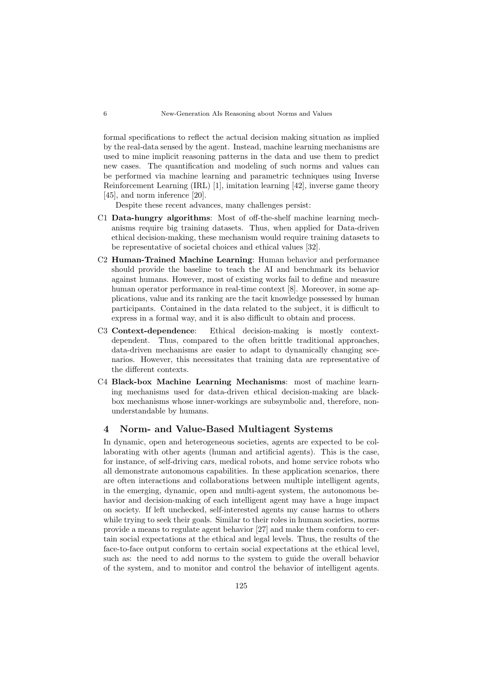formal specifications to reflect the actual decision making situation as implied by the real-data sensed by the agent. Instead, machine learning mechanisms are used to mine implicit reasoning patterns in the data and use them to predict new cases. The quantification and modeling of such norms and values can be performed via machine learning and parametric techniques using Inverse Reinforcement Learning (IRL) [1], imitation learning [42], inverse game theory [45], and norm inference [20].

Despite these recent advances, many challenges persist:

- C1 Data-hungry algorithms: Most of off-the-shelf machine learning mechanisms require big training datasets. Thus, when applied for Data-driven ethical decision-making, these mechanism would require training datasets to be representative of societal choices and ethical values [32].
- C2 Human-Trained Machine Learning: Human behavior and performance should provide the baseline to teach the AI and benchmark its behavior against humans. However, most of existing works fail to define and measure human operator performance in real-time context [8]. Moreover, in some applications, value and its ranking are the tacit knowledge possessed by human participants. Contained in the data related to the subject, it is difficult to express in a formal way, and it is also difficult to obtain and process.
- C3 Context-dependence: Ethical decision-making is mostly contextdependent. Thus, compared to the often brittle traditional approaches, data-driven mechanisms are easier to adapt to dynamically changing scenarios. However, this necessitates that training data are representative of the different contexts.
- C4 Black-box Machine Learning Mechanisms: most of machine learning mechanisms used for data-driven ethical decision-making are blackbox mechanisms whose inner-workings are subsymbolic and, therefore, nonunderstandable by humans.

#### 4 Norm- and Value-Based Multiagent Systems

In dynamic, open and heterogeneous societies, agents are expected to be collaborating with other agents (human and artificial agents). This is the case, for instance, of self-driving cars, medical robots, and home service robots who all demonstrate autonomous capabilities. In these application scenarios, there are often interactions and collaborations between multiple intelligent agents, in the emerging, dynamic, open and multi-agent system, the autonomous behavior and decision-making of each intelligent agent may have a huge impact on society. If left unchecked, self-interested agents my cause harms to others while trying to seek their goals. Similar to their roles in human societies, norms provide a means to regulate agent behavior [27] and make them conform to certain social expectations at the ethical and legal levels. Thus, the results of the face-to-face output conform to certain social expectations at the ethical level, such as: the need to add norms to the system to guide the overall behavior of the system, and to monitor and control the behavior of intelligent agents.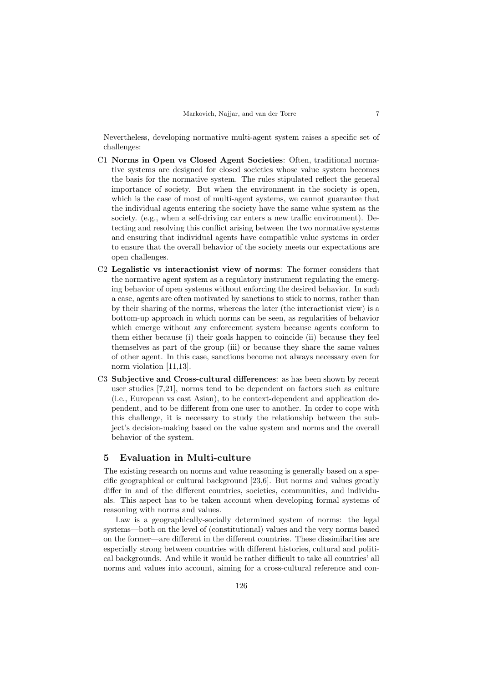Nevertheless, developing normative multi-agent system raises a specific set of challenges:

- C1 Norms in Open vs Closed Agent Societies: Often, traditional normative systems are designed for closed societies whose value system becomes the basis for the normative system. The rules stipulated reflect the general importance of society. But when the environment in the society is open, which is the case of most of multi-agent systems, we cannot guarantee that the individual agents entering the society have the same value system as the society. (e.g., when a self-driving car enters a new traffic environment). Detecting and resolving this conflict arising between the two normative systems and ensuring that individual agents have compatible value systems in order to ensure that the overall behavior of the society meets our expectations are open challenges.
- C2 Legalistic vs interactionist view of norms: The former considers that the normative agent system as a regulatory instrument regulating the emerging behavior of open systems without enforcing the desired behavior. In such a case, agents are often motivated by sanctions to stick to norms, rather than by their sharing of the norms, whereas the later (the interactionist view) is a bottom-up approach in which norms can be seen, as regularities of behavior which emerge without any enforcement system because agents conform to them either because (i) their goals happen to coincide (ii) because they feel themselves as part of the group (iii) or because they share the same values of other agent. In this case, sanctions become not always necessary even for norm violation [11,13].
- C3 Subjective and Cross-cultural differences: as has been shown by recent user studies [7,21], norms tend to be dependent on factors such as culture (i.e., European vs east Asian), to be context-dependent and application dependent, and to be different from one user to another. In order to cope with this challenge, it is necessary to study the relationship between the subject's decision-making based on the value system and norms and the overall behavior of the system.

#### 5 Evaluation in Multi-culture

The existing research on norms and value reasoning is generally based on a specific geographical or cultural background [23,6]. But norms and values greatly differ in and of the different countries, societies, communities, and individuals. This aspect has to be taken account when developing formal systems of reasoning with norms and values.

Law is a geographically-socially determined system of norms: the legal systems—both on the level of (constitutional) values and the very norms based on the former—are different in the different countries. These dissimilarities are especially strong between countries with different histories, cultural and political backgrounds. And while it would be rather difficult to take all countries' all norms and values into account, aiming for a cross-cultural reference and con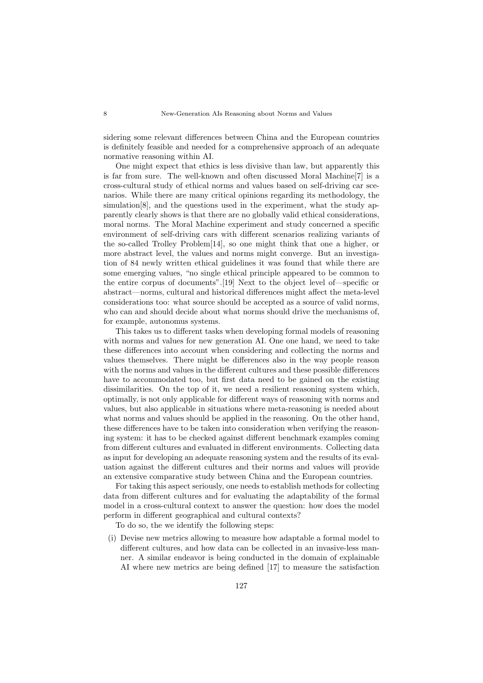sidering some relevant differences between China and the European countries is definitely feasible and needed for a comprehensive approach of an adequate normative reasoning within AI.

One might expect that ethics is less divisive than law, but apparently this is far from sure. The well-known and often discussed Moral Machine[7] is a cross-cultural study of ethical norms and values based on self-driving car scenarios. While there are many critical opinions regarding its methodology, the simulation[8], and the questions used in the experiment, what the study apparently clearly shows is that there are no globally valid ethical considerations, moral norms. The Moral Machine experiment and study concerned a specific environment of self-driving cars with different scenarios realizing variants of the so-called Trolley Problem[14], so one might think that one a higher, or more abstract level, the values and norms might converge. But an investigation of 84 newly written ethical guidelines it was found that while there are some emerging values, "no single ethical principle appeared to be common to the entire corpus of documents".[19] Next to the object level of—specific or abstract—norms, cultural and historical differences might affect the meta-level considerations too: what source should be accepted as a source of valid norms, who can and should decide about what norms should drive the mechanisms of, for example, autonomus systems.

This takes us to different tasks when developing formal models of reasoning with norms and values for new generation AI. One one hand, we need to take these differences into account when considering and collecting the norms and values themselves. There might be differences also in the way people reason with the norms and values in the different cultures and these possible differences have to accommodated too, but first data need to be gained on the existing dissimilarities. On the top of it, we need a resilient reasoning system which, optimally, is not only applicable for different ways of reasoning with norms and values, but also applicable in situations where meta-reasoning is needed about what norms and values should be applied in the reasoning. On the other hand, these differences have to be taken into consideration when verifying the reasoning system: it has to be checked against different benchmark examples coming from different cultures and evaluated in different environments. Collecting data as input for developing an adequate reasoning system and the results of its evaluation against the different cultures and their norms and values will provide an extensive comparative study between China and the European countries.

For taking this aspect seriously, one needs to establish methods for collecting data from different cultures and for evaluating the adaptability of the formal model in a cross-cultural context to answer the question: how does the model perform in different geographical and cultural contexts?

To do so, the we identify the following steps:

(i) Devise new metrics allowing to measure how adaptable a formal model to different cultures, and how data can be collected in an invasive-less manner. A similar endeavor is being conducted in the domain of explainable AI where new metrics are being defined [17] to measure the satisfaction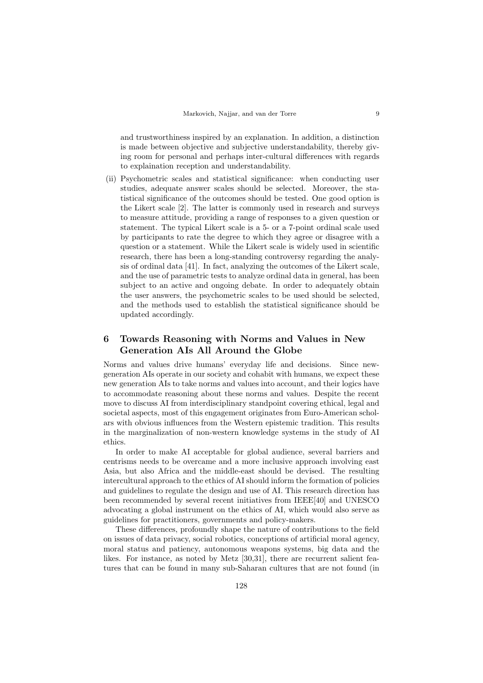and trustworthiness inspired by an explanation. In addition, a distinction is made between objective and subjective understandability, thereby giving room for personal and perhaps inter-cultural differences with regards to explaination reception and understandability.

(ii) Psychometric scales and statistical significance: when conducting user studies, adequate answer scales should be selected. Moreover, the statistical significance of the outcomes should be tested. One good option is the Likert scale [2]. The latter is commonly used in research and surveys to measure attitude, providing a range of responses to a given question or statement. The typical Likert scale is a 5- or a 7-point ordinal scale used by participants to rate the degree to which they agree or disagree with a question or a statement. While the Likert scale is widely used in scientific research, there has been a long-standing controversy regarding the analysis of ordinal data [41]. In fact, analyzing the outcomes of the Likert scale, and the use of parametric tests to analyze ordinal data in general, has been subject to an active and ongoing debate. In order to adequately obtain the user answers, the psychometric scales to be used should be selected, and the methods used to establish the statistical significance should be updated accordingly.

## 6 Towards Reasoning with Norms and Values in New Generation AIs All Around the Globe

Norms and values drive humans' everyday life and decisions. Since newgeneration AIs operate in our society and cohabit with humans, we expect these new generation AIs to take norms and values into account, and their logics have to accommodate reasoning about these norms and values. Despite the recent move to discuss AI from interdisciplinary standpoint covering ethical, legal and societal aspects, most of this engagement originates from Euro-American scholars with obvious influences from the Western epistemic tradition. This results in the marginalization of non-western knowledge systems in the study of AI ethics.

In order to make AI acceptable for global audience, several barriers and centrisms needs to be overcame and a more inclusive approach involving east Asia, but also Africa and the middle-east should be devised. The resulting intercultural approach to the ethics of AI should inform the formation of policies and guidelines to regulate the design and use of AI. This research direction has been recommended by several recent initiatives from IEEE[40] and UNESCO advocating a global instrument on the ethics of AI, which would also serve as guidelines for practitioners, governments and policy-makers.

These differences, profoundly shape the nature of contributions to the field on issues of data privacy, social robotics, conceptions of artificial moral agency, moral status and patiency, autonomous weapons systems, big data and the likes. For instance, as noted by Metz [30,31], there are recurrent salient features that can be found in many sub-Saharan cultures that are not found (in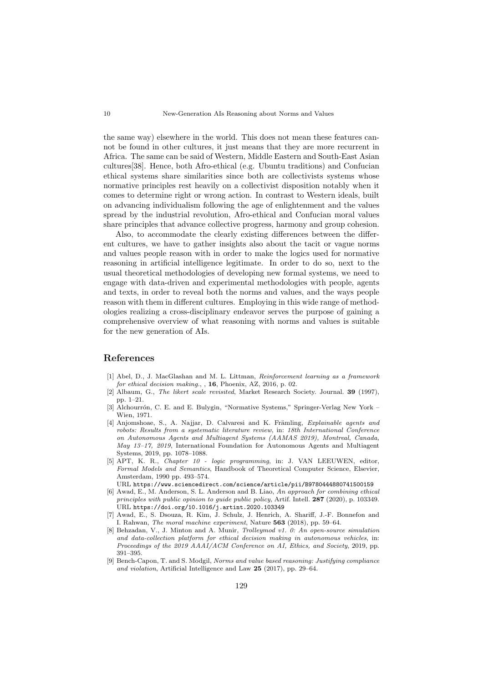the same way) elsewhere in the world. This does not mean these features cannot be found in other cultures, it just means that they are more recurrent in Africa. The same can be said of Western, Middle Eastern and South-East Asian cultures[38]. Hence, both Afro-ethical (e.g. Ubuntu traditions) and Confucian ethical systems share similarities since both are collectivists systems whose normative principles rest heavily on a collectivist disposition notably when it comes to determine right or wrong action. In contrast to Western ideals, built on advancing individualism following the age of enlightenment and the values spread by the industrial revolution, Afro-ethical and Confucian moral values share principles that advance collective progress, harmony and group cohesion.

Also, to accommodate the clearly existing differences between the different cultures, we have to gather insights also about the tacit or vague norms and values people reason with in order to make the logics used for normative reasoning in artificial intelligence legitimate. In order to do so, next to the usual theoretical methodologies of developing new formal systems, we need to engage with data-driven and experimental methodologies with people, agents and texts, in order to reveal both the norms and values, and the ways people reason with them in different cultures. Employing in this wide range of methodologies realizing a cross-disciplinary endeavor serves the purpose of gaining a comprehensive overview of what reasoning with norms and values is suitable for the new generation of AIs.

### References

- [1] Abel, D., J. MacGlashan and M. L. Littman, Reinforcement learning as a framework for ethical decision making., , 16, Phoenix, AZ, 2016, p. 02.
- [2] Albaum, G., The likert scale revisited, Market Research Society. Journal. 39 (1997), pp. 1–21.
- [3] Alchourrón, C. E. and E. Bulygin, "Normative Systems," Springer-Verlag New York Wien, 1971.
- [4] Anjomshoae, S., A. Najjar, D. Calvaresi and K. Främling, Explainable agents and robots: Results from a systematic literature review, in: 18th International Conference on Autonomous Agents and Multiagent Systems (AAMAS 2019), Montreal, Canada, May 13–17, 2019, International Foundation for Autonomous Agents and Multiagent Systems, 2019, pp. 1078–1088.
- [5] APT, K. R., Chapter 10 logic programming, in: J. VAN LEEUWEN, editor, Formal Models and Semantics, Handbook of Theoretical Computer Science, Elsevier, Amsterdam, 1990 pp. 493–574.

URL https://www.sciencedirect.com/science/article/pii/B9780444880741500159

- [6] Awad, E., M. Anderson, S. L. Anderson and B. Liao, An approach for combining ethical principles with public opinion to guide public policy, Artif. Intell. 287 (2020), p. 103349. URL https://doi.org/10.1016/j.artint.2020.103349
- [7] Awad, E., S. Dsouza, R. Kim, J. Schulz, J. Henrich, A. Shariff, J.-F. Bonnefon and I. Rahwan, The moral machine experiment, Nature 563 (2018), pp. 59–64.
- [8] Behzadan, V., J. Minton and A. Munir, Trolleymod v1. 0: An open-source simulation and data-collection platform for ethical decision making in autonomous vehicles, in: Proceedings of the 2019 AAAI/ACM Conference on AI, Ethics, and Society, 2019, pp. 391–395.
- [9] Bench-Capon, T. and S. Modgil, Norms and value based reasoning: Justifying compliance and violation, Artificial Intelligence and Law 25 (2017), pp. 29–64.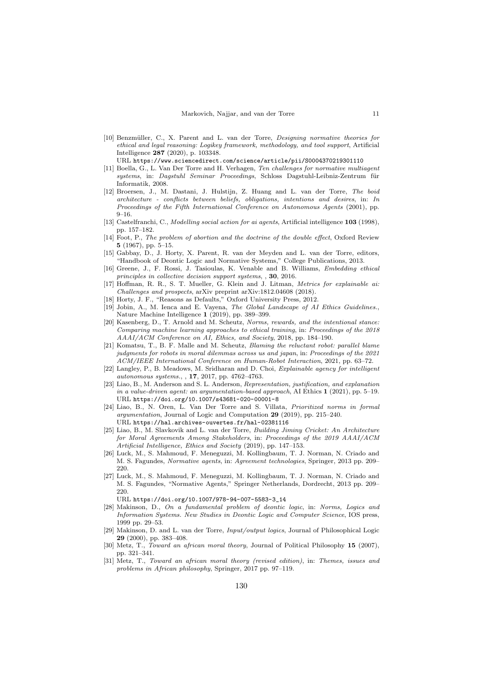[10] Benzmüller, C., X. Parent and L. van der Torre, Designing normative theories for ethical and legal reasoning: Logikey framework, methodology, and tool support, Artificial Intelligence 287 (2020), p. 103348.

URL https://www.sciencedirect.com/science/article/pii/S0004370219301110

- [11] Boella, G., L. Van Der Torre and H. Verhagen, Ten challenges for normative multiagent systems, in: Dagstuhl Seminar Proceedings, Schloss Dagstuhl-Leibniz-Zentrum für Informatik, 2008.
- [12] Broersen, J., M. Dastani, J. Hulstijn, Z. Huang and L. van der Torre, The boid architecture - conflicts between beliefs, obligations, intentions and desires, in: In Proceedings of the Fifth International Conference on Autonomous Agents (2001), pp. 9–16.
- [13] Castelfranchi, C., Modelling social action for ai agents, Artificial intelligence 103 (1998), pp. 157–182.
- [14] Foot, P., The problem of abortion and the doctrine of the double effect, Oxford Review 5 (1967), pp. 5–15.
- [15] Gabbay, D., J. Horty, X. Parent, R. van der Meyden and L. van der Torre, editors, "Handbook of Deontic Logic and Normative Systems," College Publications, 2013.
- [16] Greene, J., F. Rossi, J. Tasioulas, K. Venable and B. Williams, Embedding ethical principles in collective decision support systems, , 30, 2016.
- [17] Hoffman, R. R., S. T. Mueller, G. Klein and J. Litman, Metrics for explainable ai: Challenges and prospects, arXiv preprint arXiv:1812.04608 (2018).
- [18] Horty, J. F., "Reasons as Defaults," Oxford University Press, 2012.
- [19] Jobin, A., M. Ienca and E. Vayena, The Global Landscape of AI Ethics Guidelines., Nature Machine Intelligence 1 (2019), pp. 389–399.
- [20] Kasenberg, D., T. Arnold and M. Scheutz, Norms, rewards, and the intentional stance: Comparing machine learning approaches to ethical training, in: Proceedings of the 2018 AAAI/ACM Conference on AI, Ethics, and Society, 2018, pp. 184–190.
- [21] Komatsu, T., B. F. Malle and M. Scheutz, Blaming the reluctant robot: parallel blame judgments for robots in moral dilemmas across us and japan, in: Proceedings of the 2021 ACM/IEEE International Conference on Human-Robot Interaction, 2021, pp. 63–72.
- [22] Langley, P., B. Meadows, M. Sridharan and D. Choi, Explainable agency for intelligent autonomous systems., , 17, 2017, pp. 4762–4763.
- [23] Liao, B., M. Anderson and S. L. Anderson, Representation, justification, and explanation in a value-driven agent: an argumentation-based approach, AI Ethics 1 (2021), pp. 5–19. URL https://doi.org/10.1007/s43681-020-00001-8
- [24] Liao, B., N. Oren, L. Van Der Torre and S. Villata, Prioritized norms in formal argumentation, Journal of Logic and Computation 29 (2019), pp. 215–240. URL https://hal.archives-ouvertes.fr/hal-02381116
- [25] Liao, B., M. Slavkovik and L. van der Torre, Building Jiminy Cricket: An Architecture for Moral Agreements Among Stakeholders, in: Proceedings of the 2019 AAAI/ACM Artificial Intelligence, Ethics and Society (2019), pp. 147–153.
- [26] Luck, M., S. Mahmoud, F. Meneguzzi, M. Kollingbaum, T. J. Norman, N. Criado and M. S. Fagundes, Normative agents, in: Agreement technologies, Springer, 2013 pp. 209– 220.
- [27] Luck, M., S. Mahmoud, F. Meneguzzi, M. Kollingbaum, T. J. Norman, N. Criado and M. S. Fagundes, "Normative Agents," Springer Netherlands, Dordrecht, 2013 pp. 209– 220.
- URL https://doi.org/10.1007/978-94-007-5583-3\_14
- [28] Makinson, D., On a fundamental problem of deontic logic, in: Norms, Logics and Information Systems. New Studies in Deontic Logic and Computer Science, IOS press, 1999 pp. 29–53.
- [29] Makinson, D. and L. van der Torre, Input/output logics, Journal of Philosophical Logic 29 (2000), pp. 383–408.
- [30] Metz, T., Toward an african moral theory, Journal of Political Philosophy 15 (2007), pp. 321–341.
- [31] Metz, T., Toward an african moral theory (revised edition), in: Themes, issues and problems in African philosophy, Springer, 2017 pp. 97–119.